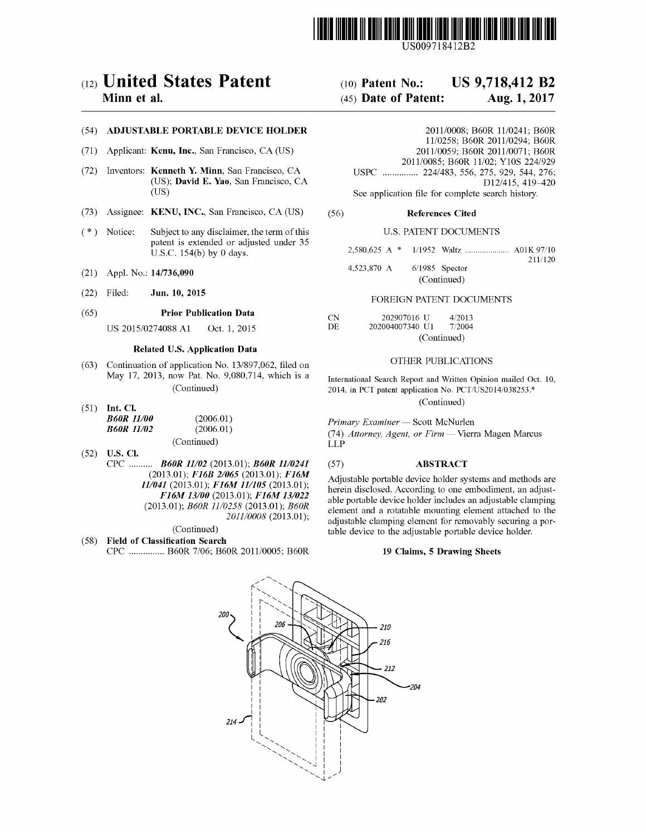

US0097.18412B2

# (12) **United States Patent**<br>Minn et al.

## (54) ADJUSTABLE PORTABLE DEVICE HOLDER 2011/0008; B60R 11/0241; B60R

- (71) Applicant: Kenu, Inc., San Francisco, CA  $(US)$
- (72) Inventors: **Kenneth Y. Minn**, San Francisco, CA USPC ..................... 224/483, 556, 275, 929, 544, 276; (US); **David E. Yao**, San Francisco, CA D12/415, 419–420 (US); David E. Yao, San Francisco, CA (US)
- (73) Assignee: KENU, INC., San Francisco, CA (US) (56) References Cited
- (\*) Notice: Subject to any disclaimer, the term of this U.S. PATENT DOCUMENTS patent is extended or adjusted under 35 U.S.C.  $154(b)$  by 0 days.
- 
- 

## (65) Prior Publication Data

US 2015/0274088 A1 Oct. 1, 2015

## Related U.S. Application Data

- (63) Continuation of application No. 13/897,062, filed on OTHER PUBLICATIONS<br>May 17, 2013, now Pat. No. 9,080,714, which is a Literational Search Report and Written Opinio
- (51) Int. Cl. (Continued)

| ( 11/02 | (2006.01)   | (74) |
|---------|-------------|------|
|         | (Continued) | LL P |

(52) U.S. Cl. CPC .......... **B60R 11/02** (2013.01); **B60R 11/0241** (57) **ABSTRACT** (2013.01); **F16B 2/065** (2013.01); **F16M** A directed a settled device balder as

(58) Field of Classification Search CPC ............... B60R 7/06; B60R 2011/0005; B60R 19 Claims, 5 Drawing Sheets

# (10) Patent No.: US 9,718,412 B2<br>(45) Date of Patent: Aug. 1, 2017

## $(45)$  Date of Patent:

11/0258; B60R 2011/0294; B60R 2011/0085; B60R 11/02: Y10S 224/929 See application file for complete search history.

| parent to extended of adjusted and so<br>U.S.C. $154(b)$ by 0 days. |             |             |                  |         |  |  |
|---------------------------------------------------------------------|-------------|-------------|------------------|---------|--|--|
| $(21)$ Appl. No.: 14/736,090                                        | 4.523.870 A |             | $6/1985$ Spector | 211/120 |  |  |
|                                                                     |             | (Continued) |                  |         |  |  |

## (22) Filed: **Jun. 10, 2015 FOREIGN PATENT DOCUMENTS**

| CN  | 202907016 U     | 4/2013 |
|-----|-----------------|--------|
| DF. | 202004007340 U1 | 7/2004 |
|     | (Continued)     |        |

Mow Pat. No. 9,080,714, which is a International Search Report and Written Opinion mailed Oct. 10,<br>(Continued) 2014. in PCT patent application No. PCT/US2014/038253.\* 2014, in PCT patent application No. PCT/US2014/038253.\*

**B60R 11/00** (2006.01) Primary Examiner — Scott McNurlen<br> **B60R 11/02** (2006.01) (7.1) (7.1) (74) Attorney, Agent, or Firm — Vierra Magen Marcus LLP

: KENU, INC., Son Francisco, CA (US) (56)<br>
Subject to any included under 35<br>
U.S.C. 134(1) by 0 days.<br>
U.S. C. 154(1) by 0 days.<br>
U.S. 2580,825 A " 11952 Waltz<br>
U.S. C. 154(1) by 0 days.<br>
(Continued)<br>
111.10, 2015<br>
The Pu 2011/0008 (2013.01); come and a rotation mounting element and a contract of the (Continued) table device to the adjustable portable device holder.

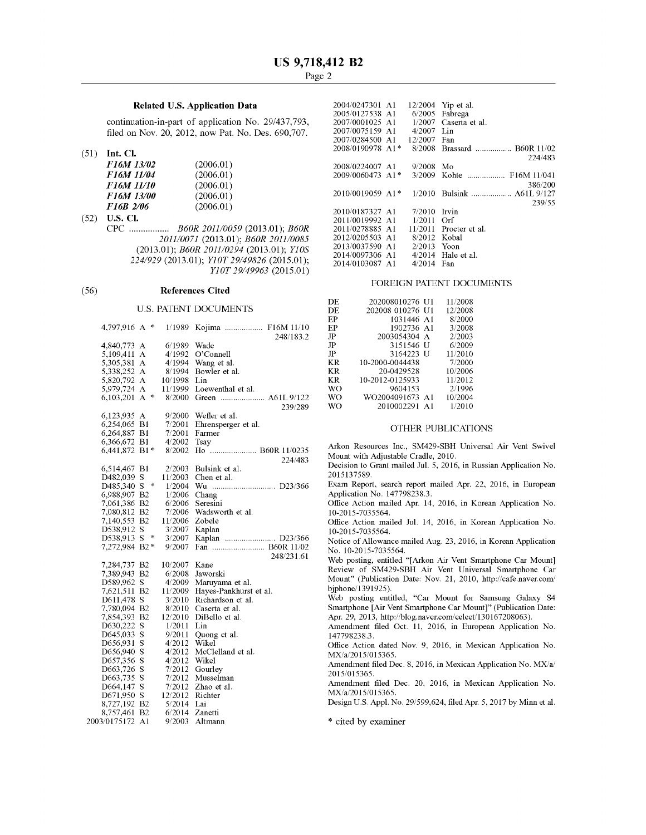#### Related U.S. Application Data

continuation-in-part of application No. 29/437,793, filed on Nov. 20, 2012, now Pat. No. Des. 690,707.

 $(51)$  Int. Cl.

| F16M 13/02        | (2006.01) |
|-------------------|-----------|
| <i>F16M 11/04</i> | (2006.01) |
| <i>F16M 11/10</i> | (2006.01) |
| <b>F16M 13/00</b> | (2006.01) |
| F16B 2/06         | (2006.01) |

 $(52)$  U.S. Cl. CPC .................. B60R 2011/0059 (2013.01); B60R 2011/0071 (2013.01); B60R 2011/0085 (2013.01); B60R 2011/0294 (2013.01); Y10S 224/929 (2013.01); Y10T 29/49826 (2015.01); Y10T 29/49963 (2015.01)

#### $(56)$ **References Cited**

#### **U.S. PATENT DOCUMENTS**

| 4,797,916 A    | 净              | 1/1989  | Kojima  F16M 11/10           |
|----------------|----------------|---------|------------------------------|
|                |                |         | 248/183.2                    |
| 4,840,773 A    |                | 6/1989  | Wade                         |
| 5,109,411 A    |                | 4/1992  | O'Connell                    |
| 5,305,381      | А              | 4/1994  | Wang et al.                  |
| 5,338,252 A    |                | 8/1994  | Bowler et al.                |
| 5,820,792 A    |                | 10/1998 | Lin                          |
| 5,979,724 A    |                | 11/1999 | Loewenthal et al.            |
| 6,103,201 A    | 净              | 8/2000  | Green  A61L 9/122            |
|                |                |         | 239/289                      |
| 6,123,935 A    |                | 9/2000  | Wefler et al.                |
| 6,254,065 B1   |                | 7/2001  | Ehrensperger et al.          |
| 6,264,887 B1   |                | 7/2001  | Farmer                       |
| 6,366,672 B1   |                | 4/2002  | Tsay                         |
| 6,441,872 B1*  |                | 8/2002  | Ho  B60R 11/0235             |
|                |                |         | 224/483                      |
| 6,514,467 B1   |                | 2/2003  | Bulsink et al.               |
| D482,039 S     |                | 11/2003 | Chen et al.                  |
|                | 净              |         | Wu                           |
| D485,340 S     |                | 1/2004  |                              |
| 6,988,907 B2   |                | 1/2006  | Chang                        |
| 7,061,386 B2   |                | 6/2006  | Seresini<br>Wadsworth et al. |
| 7,080,812 B2   |                | 7/2006  |                              |
| 7,140,553 B2   |                | 11/2006 | Zobele                       |
| D538,912       | S<br>$\ast$    | 3/2007  | Kaplan                       |
| D538,913 S     |                | 3/2007  | Kaplan  D23/366              |
| 7,272,984 B2 * |                | 9/2007  |                              |
|                |                |         | 248/231.61                   |
| 7,284,737 B2   |                | 10/2007 | Kane                         |
| 7,389,943 B2   |                | 6/2008  | Jaworski                     |
| D589,962 S     |                | 4/2009  | Maruyama et al.              |
| 7,621,511 B2   |                | 11/2009 | Hayes-Pankhurst et al.       |
| D611,478 S     |                | 3/2010  | Richardson et al.            |
| 7,780,094 B2   |                | 8/2010  | Caserta et al.               |
| 7,854,393 B2   |                | 12/2010 | DiBello et al.               |
| D630,222       | S              | 1/2011  | Lin                          |
| D645,033 S     |                | 9/2011  | Quong et al.                 |
| D656,931       | S              | 4/2012  | Wikel                        |
| D656,940 S     |                | 4/2012  | McClelland et al.            |
| D657,356 S     |                | 4/2012  | Wikel                        |
| D663,726 S     |                | 7/2012  | Gourley                      |
| D663,735 S     |                | 7/2012  | Musselman                    |
| D664,147 S     |                | 7/2012  | Zhao et al.                  |
| D671,950 S     |                | 12/2012 | Richter                      |
| 8,727,192 B2   |                | 5/2014  | Lai                          |
| 8,757,461      | B <sub>2</sub> | 6/2014  | Zanetti                      |
| 2003/0175172   | A1             | 9/2003  | Altmann                      |

| 2004/0247301 A1                 | 12/2004 | Yip et al.           |
|---------------------------------|---------|----------------------|
| 2005/0127538 A1                 | 6/2005  | Fabrega              |
| 2007/0001025 A1                 | 1/2007  | Caserta et al.       |
| 2007/0075159 A1                 | 4/2007  | Lin                  |
| 2007/0284500 A1                 | 12/2007 | Fan                  |
| 2008/0190978 A1*                | 8/2008  | Brassard  B60R 11/02 |
|                                 |         | 224/483              |
| 2008/0224007 A1                 | 9/2008  | Mo                   |
| $2009/0060473$ A <sub>1</sub> * | 3/2009  | Kohte  F16M 11/041   |
|                                 |         | 386/200              |
| 2010/0019059 A1*                | 1/2010  |                      |
|                                 |         | 239/55               |
| 2010/0187327 A1                 | 7/2010  | Irvin                |
| 2011/0019992 A1                 | 1/2011  | Orf                  |
| 2011/0278885 A1                 | 11/2011 | Procter et al.       |
| 2012/0205503 A1                 | 8/2012  | Kobal                |
| 2013/0037590 A1                 | 2/2013  | Yoon                 |
| 2014/0097306 A1                 | 4/2014  | Hale et al.          |
| 2014/0103087 A1                 | 4/2014  | Fan                  |
|                                 |         |                      |

#### FOREIGN PATENT DOCUMENTS

| DE  | 202008010276 U1  |                | 11/2008 |
|-----|------------------|----------------|---------|
| DE. | 202008 010276 U1 |                | 12/2008 |
| ЕP  | 1031446 A1       |                | 8/2000  |
| EP  | 1902736 A1       |                | 3/2008  |
| JP  | 2003054304 A     |                | 2/2003  |
| JP  | 3151546 U        |                | 6/2009  |
| JP  | 3164223 U        |                | 11/2010 |
| KR. | 10-2000-0044438  |                | 7/2000  |
| KR. | 20-0429528       |                | 10/2006 |
| КR  | 10-2012-0125933  |                | 11/2012 |
| WO  | 9604153          |                | 2/1996  |
| WΟ  | WO2004091673     | - A 1          | 10/2004 |
| WΩ  | 2010002291       | $\mathbf{A}$ 1 | 1/2010  |

#### OTHER PUBLICATIONS

Arkon Resources Inc., SM429-SBH Universal Air Vent Swivel Mount with Adjustable Cradle, 2010.

Decision to Grant mailed Jul. 5, 2016, in Russian Application No. 2015137589.

Exam Report, search report mailed Apr. 22, 2016, in European Application No. 147798238.3.

Office Action mailed Apr. 14, 2016, in Korean Application No. 10-2015-7035564.

Office Action mailed Jul. 14, 2016, in Korean Application No. 10-2015-7035564.

Notice of Allowance mailed Aug. 23, 2016, in Korean Application No. 10-2015-7035564.

Web posting, entitled "[Arkon Air Vent Smartphone Car Mount] Review of SM429-SBH Air Vent Universal Smartphone Car Mount" (Publication Date: Nov. 21, 2010, http://cafe.naver.com/ bjphone/1391925).

Web posting entitled, "Car Mount for Samsung Galaxy S4 Smartphone [Air Vent Smartphone Car Mount]" (Publication Date: Apr. 29, 2013, http://blog.naver.com/eeleet/130167208063).

Amendment filed Oct. 11, 2016, in European Application No. 147798238.3.

Office Action dated Nov. 9, 2016, in Mexican Application No. MX/a/2015/015365.

Amendment filed Dec. 8, 2016, in Mexican Application No. MX/a/ 2015/015365.

Amendment filed Dec. 20, 2016, in Mexican Application No. MX/a/2015/015365.

Design U.S. Appl. No. 29/599,624, filed Apr. 5, 2017 by Minn et al.

\* cited by examiner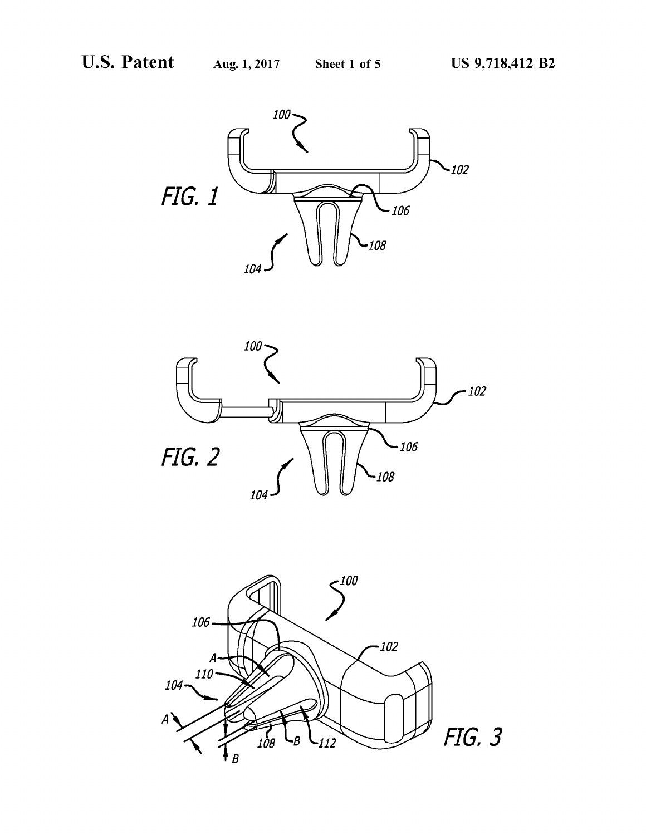



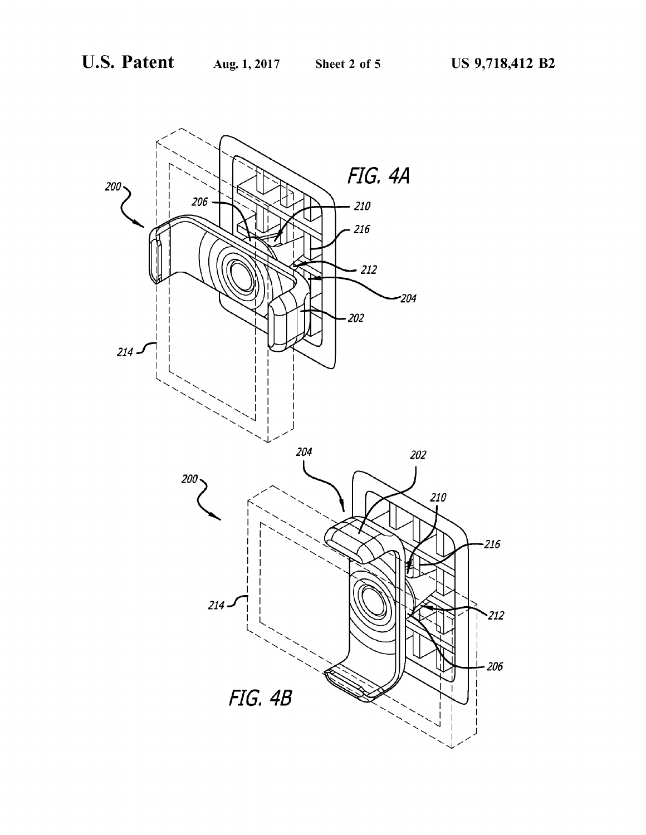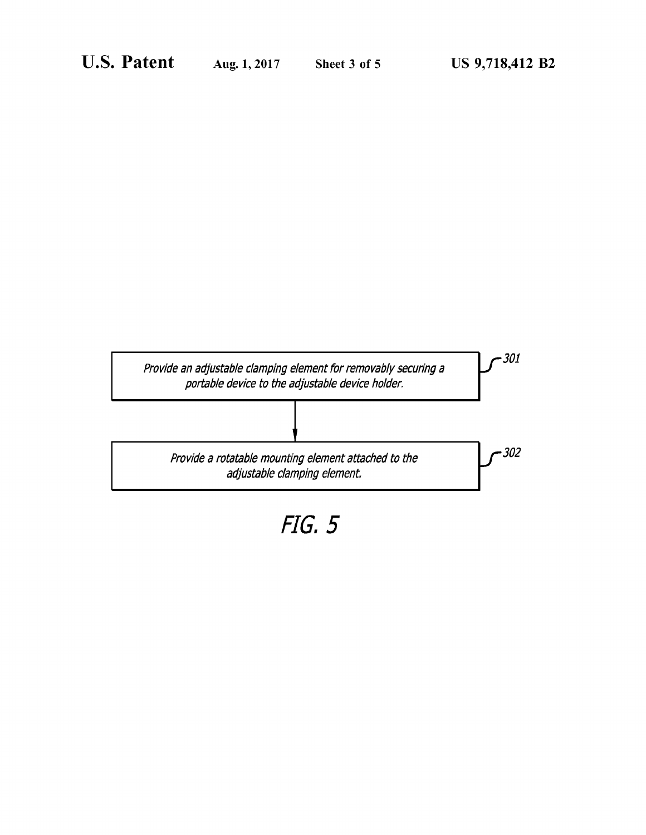

 $FIG. 5$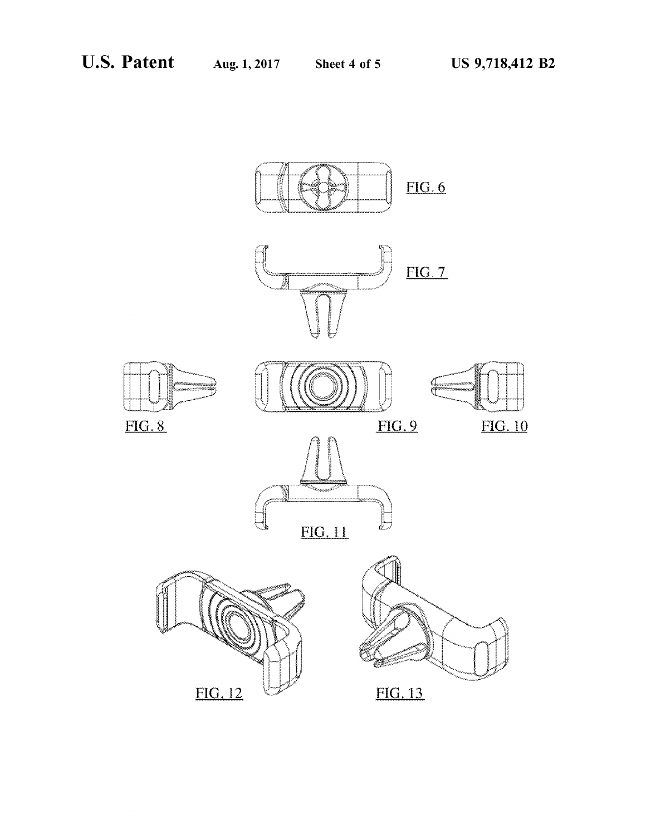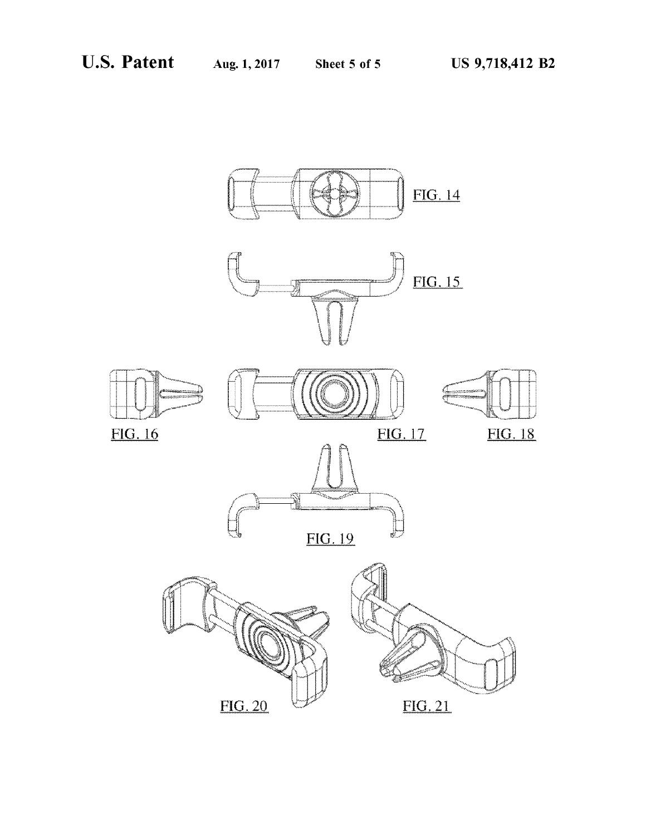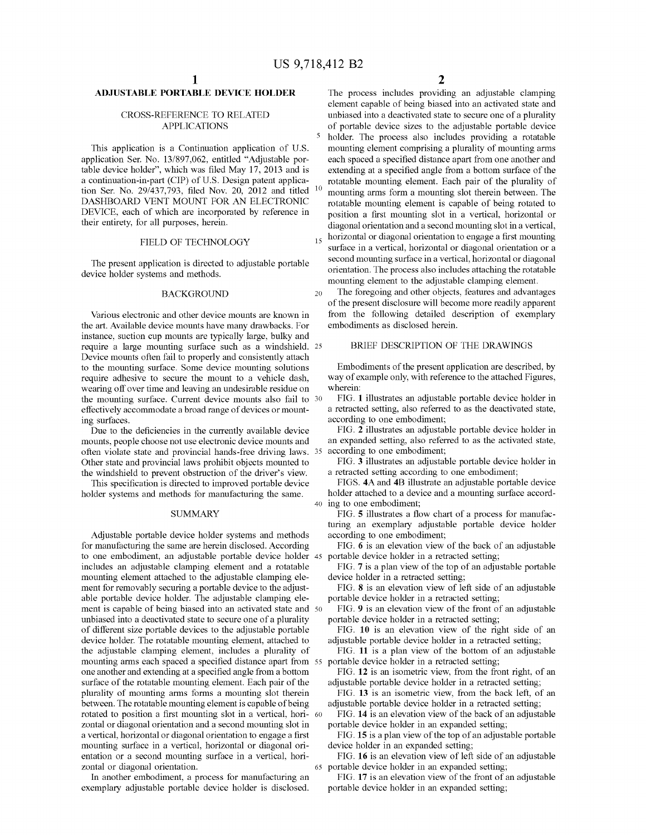20

## **ADJUSTABLE PORTABLE DEVICE HOLDER**

## **CROSS-REFERENCE TO RELATED APPLICATIONS**

This application is a Continuation application of U.S. application Ser. No. 13/897,062, entitled "Adjustable portable device holder", which was filed May 17, 2013 and is a continuation-in-part (CIP) of U.S. Design patent application Ser. No. 29/437,793, filed Nov. 20, 2012 and titled  $10$ DASHBOARD VENT MOUNT FOR AN ELECTRONIC DEVICE, each of which are incorporated by reference in their entirety, for all purposes, herein.

#### FIELD OF TECHNOLOGY

The present application is directed to adjustable portable device holder systems and methods.

#### **BACKGROUND**

Various electronic and other device mounts are known in the art. Available device mounts have many drawbacks. For instance, suction cup mounts are typically large, bulky and require a large mounting surface such as a windshield. 25 Device mounts often fail to properly and consistently attach to the mounting surface. Some device mounting solutions require adhesive to secure the mount to a vehicle dash, wearing off over time and leaving an undesirable residue on the mounting surface. Current device mounts also fail to 30 effectively accommodate a broad range of devices or mounting surfaces.

Due to the deficiencies in the currently available device mounts, people choose not use electronic device mounts and often violate state and provincial hands-free driving laws. 35 Other state and provincial laws prohibit objects mounted to the windshield to prevent obstruction of the driver's view.

This specification is directed to improved portable device holder systems and methods for manufacturing the same.

#### **SUMMARY**

Adjustable portable device holder systems and methods for manufacturing the same are herein disclosed. According to one embodiment, an adjustable portable device holder 45 includes an adjustable clamping element and a rotatable mounting element attached to the adjustable clamping element for removably securing a portable device to the adjustable portable device holder. The adjustable clamping element is capable of being biased into an activated state and 50 unbiased into a deactivated state to secure one of a plurality of different size portable devices to the adjustable portable device holder. The rotatable mounting element, attached to the adjustable clamping element, includes a plurality of mounting arms each spaced a specified distance apart from 55 one another and extending at a specified angle from a bottom surface of the rotatable mounting element. Each pair of the plurality of mounting arms forms a mounting slot therein between. The rotatable mounting element is capable of being rotated to position a first mounting slot in a vertical, hori- 60 zontal or diagonal orientation and a second mounting slot in a vertical, horizontal or diagonal orientation to engage a first mounting surface in a vertical, horizontal or diagonal orientation or a second mounting surface in a vertical, horizontal or diagonal orientation. 65

In another embodiment, a process for manufacturing an exemplary adjustable portable device holder is disclosed.

 $\mathbf{2}$ 

The process includes providing an adjustable clamping element capable of being biased into an activated state and unbiased into a deactivated state to secure one of a plurality of portable device sizes to the adjustable portable device holder. The process also includes providing a rotatable mounting element comprising a plurality of mounting arms each spaced a specified distance apart from one another and extending at a specified angle from a bottom surface of the rotatable mounting element. Each pair of the plurality of mounting arms form a mounting slot therein between. The rotatable mounting element is capable of being rotated to position a first mounting slot in a vertical, horizontal or diagonal orientation and a second mounting slot in a vertical, horizontal or diagonal orientation to engage a first mounting surface in a vertical, horizontal or diagonal orientation or a second mounting surface in a vertical, horizontal or diagonal orientation. The process also includes attaching the rotatable mounting element to the adjustable clamping element.

The foregoing and other objects, features and advantages of the present disclosure will become more readily apparent from the following detailed description of exemplary embodiments as disclosed herein.

#### BRIEF DESCRIPTION OF THE DRAWINGS

Embodiments of the present application are described, by way of example only, with reference to the attached Figures, wherein:

FIG. 1 illustrates an adjustable portable device holder in a retracted setting, also referred to as the deactivated state, according to one embodiment;

FIG. 2 illustrates an adjustable portable device holder in an expanded setting, also referred to as the activated state, according to one embodiment;

FIG. 3 illustrates an adjustable portable device holder in a retracted setting according to one embodiment;

FIGS. 4A and 4B illustrate an adjustable portable device holder attached to a device and a mounting surface accord-40 ing to one embodiment;

FIG. 5 illustrates a flow chart of a process for manufacturing an exemplary adjustable portable device holder according to one embodiment;

FIG. 6 is an elevation view of the back of an adjustable portable device holder in a retracted setting;

FIG. 7 is a plan view of the top of an adjustable portable device holder in a retracted setting:

FIG. 8 is an elevation view of left side of an adjustable portable device holder in a retracted setting;

FIG. 9 is an elevation view of the front of an adjustable portable device holder in a retracted setting;

FIG. 10 is an elevation view of the right side of an adjustable portable device holder in a retracted setting;

FIG. 11 is a plan view of the bottom of an adjustable portable device holder in a retracted setting;

FIG. 12 is an isometric view, from the front right, of an adjustable portable device holder in a retracted setting;

FIG. 13 is an isometric view, from the back left, of an adjustable portable device holder in a retracted setting;

FIG. 14 is an elevation view of the back of an adjustable portable device holder in an expanded setting;

FIG. 15 is a plan view of the top of an adjustable portable device holder in an expanded setting;

FIG. 16 is an elevation view of left side of an adjustable portable device holder in an expanded setting;

FIG. 17 is an elevation view of the front of an adjustable portable device holder in an expanded setting;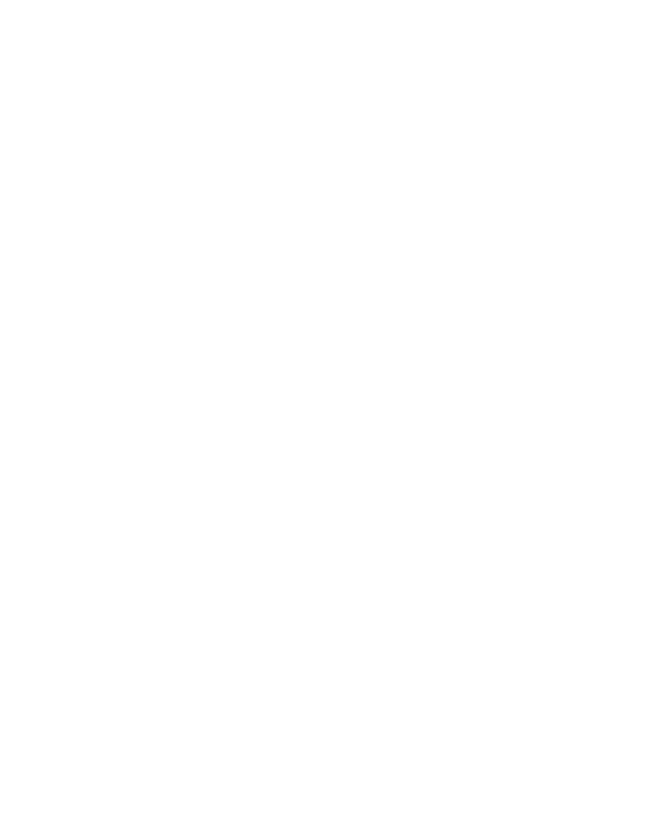FIG. 18 is an elevation view of the right side of an adjustable portable device holder in an expanded setting;

FIG. 19 is a plan view of the bottom of an adjustable portable device holder in an expanded setting;

FIG. 20 is an isometric view, from the front right, of an 5 adjustable portable device holder in an expanded setting; and

FIG. 21 is an isometric view, from the back left, of an adjustable portable device holder in an expanded setting.

## DETAILED DESCRIPTION

It will be appreciated that for simplicity and clarity of illustration, where considered appropriate, reference numerals may be repeated among the figures to indicate corre-15 sponding or analogous elements. In addition, numerous specific details are set forth in order to provide a thorough understanding of the example embodiments described herein. However, it will be understood by those of ordinary skill in the art that the example embodiments described 20 herein may be practiced without these specific details. In other instances, methods, procedures and components have not been described in detail so as not to obscure the embodiments described herein.

The adjustable portable device holders described in this 25 specification can include an adjustable clamping element attached to a rotatable mounting element. The adjustable portable device holder can be used to attach and mount a portable device to a mounting surface. The portable device can be any device that fits into the adjustable clamping 30 element including, but not limited to a smartphone or other phone, a tablet, an e-reader, a powerbank, a speaker, a multimedia player, a flashlight or other light, a television or other display, a laser or radar detector, an air freshener, a fan, a beverage or other device that can fit into the adjustable 35 clamping element. The adjustable portable device holder can be mounted to various mounting surfaces including, but not limited to an automobile air conditioner vent blade, an automobile dashboard, an automobile sun visor, a credit card, the brim of a hat, a counter, a tripod, a bicycle, a 40 backpack, a utensil, a ledge or other surface.

FIG. 1 illustrates an adjustable portable device holder 100 in a retracted setting according to one embodiment. The adjustable portable device holder 100 includes an adjustable clamping element 102 attached to a rotatable mounting 45 element 104.

FIG. 2 illustrates an adjustable portable device holder 100 in an expanded setting according to one embodiment. The adjustable portable device holder 100 includes an adjustable clamping element 102 attached to a rotatable mounting 50 element 104.

FIG. 3 illustrates an adjustable portable device holder 100 in a retracted setting according to one embodiment. The adjustable portable device holder 100 includes an adjustable clamping element 102 attached to a rotatable mounting 55 element 104.

The adjustable clamping element 102 illustrated in FIGS. 1-3 can be expanded and retracted to attach devices of different sizes to the adjustable portable device holder 100. A force can be applied to expand or bias the adjustable 60 clamping element 102 into an activated state (shown in FIG. 2) and the force can be released to retract the adjustable clamping element 102 into a deactivated state (shown in FIGS. 1 and 3). An elastic retracting or biasing element (not shown), such as a compression or torsion spring can be 65 incorporated into the adjustable clamping element 102. The compression or torsion spring facilitates the expansion and

retraction of the adjustable clamping element 102 upon applying or releasing an expansive force on a surface of the adjustable clamping element 102.

The adjustable clamping element 102 can also include a gripping material on a surface of the adjustable clamping element 102 to provide a better grip, a better viewing angle or better attachment to a device secured within the adjustable clamping element 102. The gripping material can be applied to a portion of the adjustable clamping element 102 or the entire adjustable clamping element 102 can be made of the gripping material. The gripping material can be any material that increases the adhesion, grip or coefficient of friction between the gripping surface of the adjustable clamping element 102 and a surface of a device secured within the adjustable clamping element 102. The gripping material can include, but is not limited to rubber, polymeric material or other plastic, metal, alloy, fabric, composite material or other material capable of increasing the adhesion, grip or coefficient of friction between the gripping surface of the adjustable clamping element 102 and a surface of a device secured within the adjustable clamping element 102. The gripping material and gripping surface can be textured and composed of the same or different material.

The rotatable mounting element 104 illustrated in FIGS. 1-3 can be directly or indirectly attached to the adjustable clamping element 102. The adjustable clamping element 102 and the rotatable mounting element 104 can be one integral part or component parts that are attached together by any attaching means that allows the rotatable mounting element 104 to rotate. The rotatable mounting element 104 includes a base plate 106 and a plurality of mounting arms 108 extending from the base plate 106. The base plate 106 and the plurality of mounting arms 108 can be one integral part or component parts that are attached together by any attaching means.

Referring to FIG. 3, the base plate 106 can be a cylindrically shaped disc or other element that is capable of being rotated 360 degrees clockwise or counter-clockwise. The base plate 106 provides a rotating platform from which mounting arms 108 extend. The mounting arms 108 are spaced a specified distance apart relative to one another on the base plate 106. The mounting arms 108 also extend from the base plate 106 at a specified angle relative to the base plate 106. The size of the mounting arms 108, the distance between the mounting arms 108 and the angle at which the mounting arms 108 extend from the base plate 106 establish and define mounting slots 110, 112 between pairs of mounting arms 108. The rotatable mounting element 104 can include any number of mounting arms 108 and any number of mounting slots 110, 112.

The mounting arms 108 can also include a gripping material on a surface of the mounting arms 108 to provide a better grip, a better viewing angle or better attachment to a mounting surface secured between the mounting arms 108. The gripping material can be applied to a portion of mounting arms 108 or the entirety of the mounting arms 108 can be made of the gripping material. The gripping material can be any material that increases the adhesion, grip or coefficient of friction between the gripping surface of mounting arms 108 and a mounting surface secured between the mounting arms 108. The gripping material can include, but is not limited to rubber, polymeric material or other plastic, metal, alloy, fabric, composite material or other material capable of increasing the adhesion, grip or coefficient of friction between the gripping surface of mounting arms 108 and a mounting surface secured between the mounting arms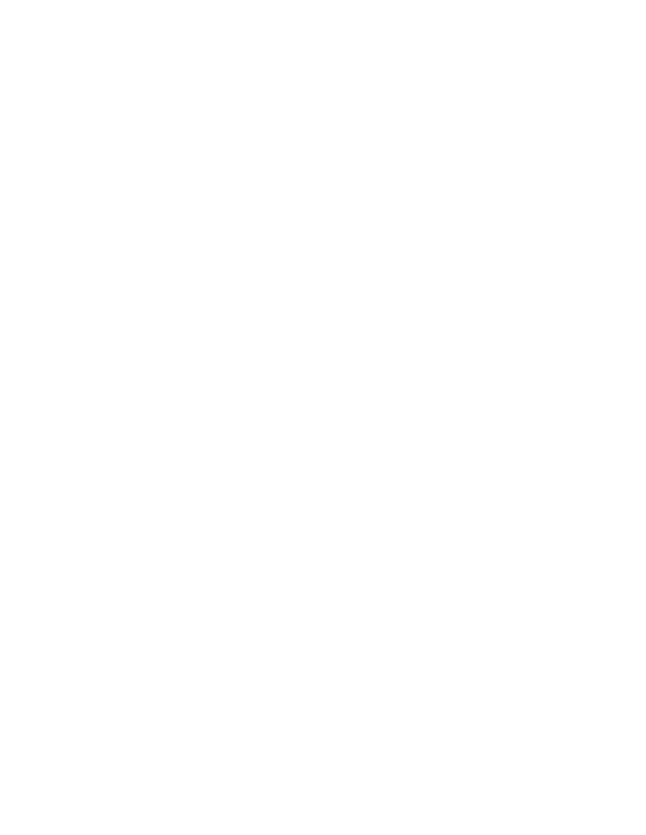108. The gripping material and gripping surface can be textured and composed of the same or different material.

In one exemplary embodiment, the rotatable mounting element 104 includes four mounting arms and four mounting slots. In another exemplary embodiment, the rotating mount-5 ing element 104 includes 6 mounting arms and six mounting slots.

The mounting arms 108 and mounting slots 110, 112, can engage a mounting surface (not shown) to mount the adjustable portable device holder 100. The adjustable portable 10 device holder 100 is mounted to a mounting surface by positioning, press fitting or wedging a mounting surface within one or more mounting slots  $110$ ,  $112$  to engage two or more mounting arms 108. The adjustable portable device holder 100 can be mounted to various mounting surfaces 15 including, but not limited to an automobile air conditioner vent blade, an automobile dashboard, an automobile sun visor, a credit card, the brim of a hat, a counter, a tripod, a bicycle, a backpack, a utensil, a ledge or other surface that can be positioned, press fit or wedged within one or more 20 mounting slots 110, 112 between two or more mounting arms 108.

The rotatable mounting element 104 can include any number of mounting arms 108 forming and defining any number of mounting slots 110, 112. As may be appreciated 25 in at least FIGS.  $1-3$ , 7, 8, 10, 11, 15, 16, 18 and 19, the size and shape of the mounting slots 110, 112 formed between pairs of mounting arms 108 can be controlled by adjusting the size and shape of the paired mounting arms 108, the distance between the pair of mounting arms 108 and the 30 angle at which the two mounting arms 108 extend from the base plate 106 and converge toward one another. As depicted, each mounting arm 108 and mounting slot 110, 112 tapers in a direction away from a bottom surface of the rotatable mounting element 104. The rotatable mounting 35 element 104 can include one or more different size mounting slots 110, 112 to accommodate different size mounting surfaces. For instance in FIG. 3, one mounting slot 110 having clearance A can be larger than another mounting slot 112 having clearance B. One or more of the mounting slots 40 110 formed on the rotatable mounting element 104 can accommodate a larger mounting surface than other mounting slots 112 formed on the rotatable mounting element 104.

The rotatable mounting element 104 can be rotated to position the mounting arms 108 and mounting slots 110, 112 45 in a horizontal plane, vertical plane, diagonal plane, circular plane, concave plane, convex plane or any plane between vertical and horizontal planes relative to the force of gravity. The mounting arms 108 and mounting slots 110, 112 can be positioned to engage a mounting surface in any engagement 50 plane within the 360 degree rotation of the mounting element 104. The rotatable mounting element 104 can be rotated to position a relatively larger mounting slot 110 with clearance A in a horizontal, vertical, diagonal, circular, concave or convex plane to engage a relatively larger 55 mounting surface in a horizontal, vertical, diagonal, circular, concave or convex engagement plane. The rotatable mounting element 104 can also be rotated to position a relatively smaller mounting slot 112 with clearance B in a horizontal, vertical, diagonal, circular, concave or convex plane to 60 engage a relatively smaller mounting surface in a horizontal, vertical, diagonal, circular, concave or convex engagement plane.

The rotatable mounting element is capable of being rotated 360 degrees clockwise or counter-clockwise to 65 engage different size mounting surfaces in a horizontal plane, vertical plane, diagonal plane, circular plane, concave

plane, convex plane or any plane between vertical and horizontal planes. A device attached to the adjustable portable device holder 100 via the adjustable clamping element 102 can also be rotated 360 degrees clockwise or counterclockwise while it is attached to the adjustable portable device holder 100 by rotating the rotatable mounting element 104

FIGS. 4A and 4B illustrate an adjustable portable device holder 200 attached to a device 214 and a mounting surface 216 according to one embodiment. The device 214 is a smart phone and the mounting surface 216 is an automobile air conditioner vent blade.

Other portable devices can also fit into the adjustable clamping element including, but not limited to a tablet, an e-reader, a powerbank, a speaker, a multimedia player, a flashlight or other light, a television or other display, a laser or radar detector, an air freshener, a fan, a beverage or other device. The adjustable portable device holder 200 can also be mounted to other mounting surfaces including, but not limited to an automobile dashboard, an automobile sun visor, a credit card, the brim of a hat, a counter, a tripod, a bicycle, a backpack, a utensil, a ledge or other surface.

The adjustable portable device holder 200 includes an adjustable clamping element 202 attached to a rotatable mounting element 204. The adjustable clamping element 202 can be expanded and retracted to attach different size smartphones to the adjustable portable device holder 200. A force can be applied to expand or bias the adjustable clamping element 202 into an activated state and the force can be released to retract the adjustable clamping element 202 into a deactivated state to clamp around the smartphone 214. An elastic retracting or biasing element (not shown), such as a compression or torsion spring can be incorporated into the adjustable clamping element 202 to facilitate the expansion and retraction of the adjustable clamping element 202 and to accommodate different size smartphones.

The adjustable clamping element 202 can also include a gripping material on a surface of the adjustable clamping element 202 to provide a better grip, a better viewing angle or better attachment to the smart phone 214 or other device secured within the adjustable clamping element 202. The gripping material can be applied to a portion of the adjustable clamping element 202 or the entire adjustable clamping element 202 can be made of the gripping material. The gripping material can be any material that increases the adhesion, grip or coefficient of friction between the gripping surface of the adjustable clamping element 202 and a surface of a device secured within the adjustable clamping element 202. The gripping material can include, but is not limited to rubber, polymeric material or other plastic, metal, alloy, fabric, composite material or other material capable of increasing the adhesion, grip or coefficient of friction between the gripping surface of the adjustable clamping element 202 and a surface of a device secured within the adjustable clamping element 202. The gripping material and gripping surface can be textured and composed of the same or different material.

The rotatable mounting element 204 can be directly or indirectly attached to the adjustable clamping element 202. The adjustable clamping element 202 and the rotatable mounting element 204 can be one integral part or component parts that are attached together by any attaching means, such as a screw, ratchet, pin, rod or friction or other device that allows the rotatable mounting element 204 to rotate. The rotatable mounting element 204 includes a base plate 206 and a plurality of mounting arms 208 extending from the base plate 206. The base plate 206 and the plurality of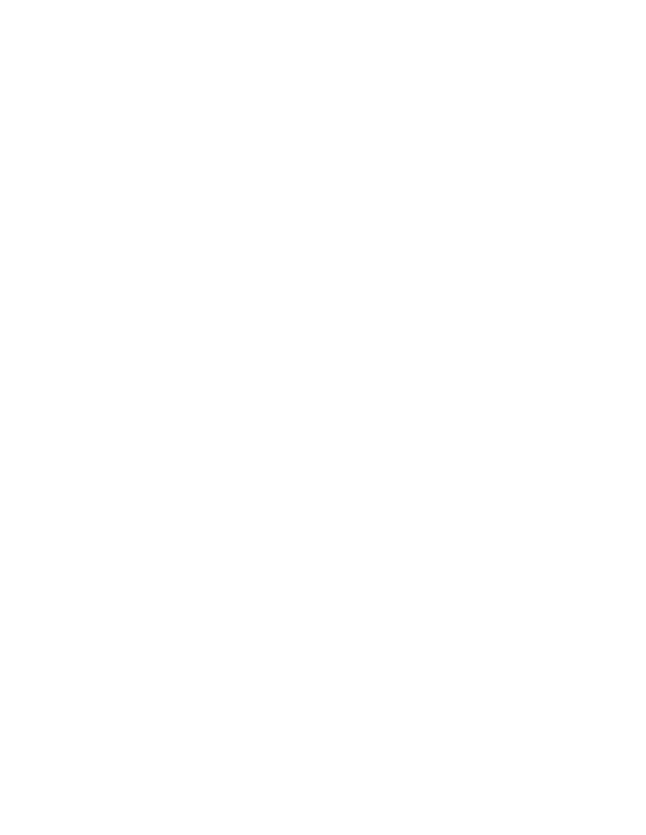mounting arms 208 can be one integral part or component parts that are attached together by any attaching means.

The base plate 206 can be a cylindrically shaped disc or other element that is capable of being rotated 360 degrees clockwise or counter-clockwise. The base plate 206 provides 5 a rotating platform from which the mounting arms 208 extend. The mounting arms 208 are spaced a specified distance apart relative to one another on the base plate 206. The mounting arms 208 also extend from the base plate 206 at a specified angle relative to the base plate 206. The size 10 of the mounting arms 208, the distance between the mounting arms 208 and the angle at which the mounting arms 208 extend from the base plate 206 establish and define mounting slots 210, 212 between pairs of mounting arms 208. The rotatable mounting element 204 includes four mounting 15 arms 208 and four mounting slots 210, 212.

The mounting arms 208 and mounting slots 210, 212, can engage and attach to an air conditioner vent blade 216 to mount the adjustable portable device holder 200. The adjustable portable device holder 200 is mounted to the air 20 conditioner vent blade 216 by positioning, press fitting or wedging a surface of the air conditioner vent blade 216 within one or more mounting slots 210, 212 to engage two or more mounting arms 208.

The mounting arms  $208$  can also include a gripping  $25$ material on a surface of the mounting arms 208 to provide a better grip, a better viewing angle or better attachment to the air conditioner vent blade 216 secured between mounting arms 208. The gripping material can be applied to a portion of mounting arms 208 or the entirety of the mounting 30 arms 208 can be made of the gripping material. The gripping material can be any material that increases the adhesion, grip or coefficient of friction between the gripping surface of mounting arms 208 and an air conditioner vent blade 216 secured between the mounting arms 208. The gripping 35 material can include, but is not limited to rubber, polymeric material or other plastic, metal, alloy, fabric, composite material or other material capable of increasing the adhesion, grip or coefficient of friction between the gripping surface of mounting arms 208 and the air conditioner vent 40 blade 216 secured between the mounting arms 208. The gripping material can be and gripping surface and composed of the same or different material.

The rotatable mounting element 204 includes two different sizes of mounting slots 210, 212 to accommodate 45 different size air conditioner vent blades 216 or other mounting surfaces. Two mounting slots 210 having clearance A are larger than the other two mounting slots 212 having clearance B.

The rotatable mounting element 204 can be rotated to 50 position the mounting arms 208 and mounting slots 210, 212 in a horizontal, vertical, diagonal, circular, concave, convex or any plane between vertical and horizontal planes to engage air conditioner vent blades 216 oriented in a horizontal, vertical, diagonal, circular, concave, convex or any 55 plane between vertical and horizontal planes. The mounting arms 208 and mounting slots 210, 212 can be positioned to attach to an air conditioner vent blade in any engagement plane within the 360 degree rotation of the mounting element 204. The rotatable mounting element 204 can be 60 rotated to position the larger mounting slots 210 with clearance A in a horizontal, vertical, diagonal, circular, concave, convex or any plane between vertical and horizontal planes to engage or attach to larger air conditioner vent blades 216 oriented in a horizontal, vertical, diagonal, cir-65 cular, concave, convex or any plane between vertical and horizontal planes. The rotatable mounting element 204 can

also be rotated to position the smaller mounting slots 212 with clearance B in a horizontal, vertical, diagonal, circular, concave, convex or any plane between vertical and horizontal planes to engage or attach to smaller air conditioner vent blades 216 oriented in a horizontal, vertical, diagonal, circular, concave, convex or any plane between vertical and horizontal planes.

The rotatable mounting element 204 is capable of being rotated 360 degrees clockwise or counter-clockwise to engage different size mounting surfaces in a horizontal, vertical, diagonal, circular, concave, convex or any plane between vertical and horizontal planes relative to the force of gravity. The smart phone 214 attached to the adjustable portable device holder 200 can be rotated into a portrait orientation (shown in FIG. 4A) and a landscape orientation (shown in FIG. 4B) by rotating the rotatable mounting element 204. The smart phone 214 attached to the adjustable portable device holder 200 can be rotated 360 degrees clockwise or counter-clockwise while it is attached to the adjustable portable device holder 200 by rotating the smart phone 214 and adjustable clamping element 202, while the rotatable mounting element 204 is secured to a mounting surface.

FIG. 5 illustrates a flow chart of a process for manufacturing an exemplary adjustable portable device holder according to one embodiment. At step 301, the process includes providing an adjustable clamping element for removably securing a portable device to the adjustable portable device holder. The adjustable clamping element is capable of being biased into an activated state and unbiased into a deactivated state to secure one of a plurality of different size portable device to the adjustable portable device holder.

As an example and as depicted in FIGS. 2, 14, 15, 16 and 19-21, to manufacture the adjustable portable device holder, two stainless steel rods can be inserted into an expandable arm cavity of a double injection mold. PC/ABS is injected into the cavities of the mold to hold the rods in place and to produce an expandable arm, main body and cover of an adjustable clamping element. The mold is then rotated and injected with TPE to form side grips of the expandable arm and body of the adjustable clamping element. A stainless steel spring is inserted over each rod and held in place by a stainless steel screw affixed to the end of the rods. Grease is added to the lower portion of the spring and rods (near the screw head). The expandable arm is inserted into the body and the springs are lowered and held in place within the body of the adjustable clamping element. The cover is then slid on to the body to hold the adjustable arm in place.

The adjustable clamping element or a surface thereof can also be formed from rubber, polymeric material or other plastic, metal, alloy, or composite material that is rigid, semi-rigid or textured.

At step 302, a rotatable mounting element is provided, which can be attached to the adjustable clamping element via screw, ratchet, pin, rod or friction or other attachment means. The rotatable mounting element includes a plurality of mounting arms each spaced a specified distance apart from one another and extending at a specified angle from a bottom surface of the rotatable mounting element. Each pair of the plurality of mounting arms form a mounting slot therein between. The rotatable mounting element is capable of being rotated to position a first mounting slot in a vertical, horizontal or diagonal orientation and a second mounting slot in a vertical, horizontal or diagonal orientation to engage a first mounting surface in a vertical, horizontal or diagonal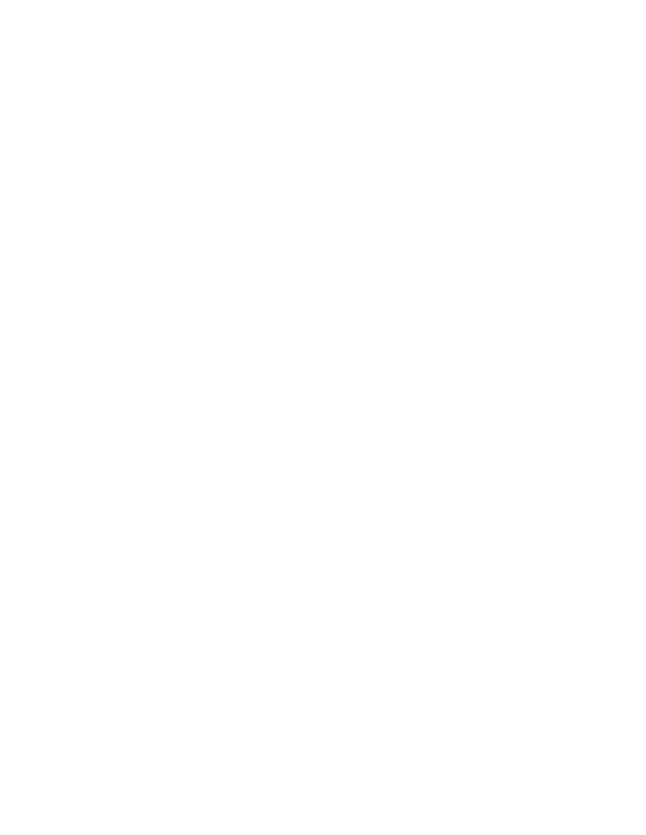orientation or a second mounting surface in a vertical, horizontal or diagonal orientation.

For example, a rotatable mounting element can be formed in whole or part from stainless metal or other metal, alloy or plastic sheet stamped to form a clip or base plate with four 5 arms extending from the base plate, spaced a specified distance apart and bent to a desired angle. If metal or other heat treatable material, the rotatable mounting element can be heat treated to form a rigid structure. The rotatable mounting element or a surface thereof can also be formed 10 from rubber, polymeric material or other plastic, metal, alloy, or composite material that is rigid, semi-rigid or textured.

A zinc-alloy nut or other alloy or material can be formed using a die-cast mold to attach the rotatable mounting 15 one of the at least two different sized mounting surfaces that element to the adjustable clamping element. Glue is added to the cavity of the nut. The rotatable mounting element is affixed to the main body of the adjustable clamping element via the nut and a second stainless screw. A force gage is used to monitor the rotational force of the rotatable mounting 20 element and the rotatable mounting element is adjusted if screw is too tight or loose.

TPE is injected into a mold to create a skirt and four socks. The skirt and four socks can also be formed from rubber, polymeric material or other plastic, metal, alloy, or 25 composite material that is rigid, semi-rigid or textured. The skirt is assembled over the mounting arms of the rotatable mounting element. Glue is added to each mounting arm of the rotatable mounting element. A sock is inserted over each mounting arm, which holds the skirt in place.

Example embodiments have been described hereinabove regarding adjustable portable device holder systems and methods. Various modifications to and departures from the disclosed example embodiments will occur to those having ordinary skill in the art. The subject matter that is intended 35 to be within the spirit of this disclosure is set forth in the following claims.

What is claimed is:

1. A portable device holder comprising:

- an adjustable clamping element comprising a pair of 40 opposing side grips, the adjustable clamping element being adjustable between activated and deactivated states by linearly translating at least one of the side grips to removably secure one of a plurality of different sized portable devices to the adjustable clamping ele- 45 ment:
- a mounting element including a rotatable base plate having a first side and a second side opposite the first side, the first side of the rotatable base plate flush with and rotatably attached to a main body of the adjustable 50 clamping element, the rotatable base plate providing a rotating platform that enables the mounting element to be rotated at least one of clockwise or counter-clockwise relative to the adjustable clamping element; and
- the mounting element also including four mounting arms 55 extending from the second side of the base plate and spaced apart from and converging towards one another to define at least two different sized mounting slots when the four mounting arms are not engaged with any mounting surface; 60
- wherein the at least two different sized mounting slots accommodate engagement with at least two different sized mounting surfaces; and
- wherein the at least two different sized mounting slots are rotatable relative to the adjustable clamping element by 65 rotating the base plate relative to the main body of the adjustable clamping element, thereby enabling the por-

table device holder to hold and mount one of a plurality of different sized portable devices to at least two different sized mounting surfaces in multiple different orientations.

2. The portable device holder of claim 1,

wherein a width of each of the mounting slots tapers away from the bottom surface of the mounting element; and

wherein the mounting element is capable of releasably setting each of the mounting slots in two 180 degree spaced apart vertical orientations and two 180 degree spaced apart horizontal orientations for alternative engagement with vertically and horizontally oriented mounting surfaces.

3. The portable device holder of claim 2, wherein at least the mounting slots are configured to engage comprises an air conditioner vent blade in an automobile.

4. The portable device holder of claim 1, wherein the mounting arms comprise a gripping surface constructed from rubber, polymeric material, plastic, metal, alloy or composite material.

5. The portable device holder of claim 1, wherein the mounting element is operable to be rotated 360 degrees.

6. The portable device holder of claim 1, wherein the mounting element is attached with a fastener to the adjustable clamping element.

7. The portable device holder of claim 6, wherein the fastener includes a ratchet device, a screw, or a pin.

8. The portable device holder of claim 1, wherein the 30 mounting element is friction fit to the adjustable clamping element.

9. The portable device holder of claim 1, wherein the mounting slot is operable to be rotated to a vertical, horizontal or diagonal arrangement.

10. The portable device holder of claim 1, wherein the four mounting arms and the rotatable base plate of the mounting element are integrally formed with each other.

11. The portable device holder of claim 1, wherein:

- the mounting element comprises a metal or alloy sheet stamped to form the base plate with the four mounting arms extending therefrom; and
- the four mounting arms extending from the base plate are bent relative to the base plate so that the four mounting arms extend from the second side of the base plate and converge towards one another; and
- four molded socks are inserted one over each of the four mounting arms, each said molded sock molded from at least one of rubber, polymeric material or plastic.

12. The portable device holder of claim 1, wherein:

- the adjustable clamping element further comprises a rod and a spring inserted over the rod; and
- an expandable arm of the adjustable clamping element is translatable, along the rod, relative to the main body of the adjustable clamping element.

13. A portable device holder comprising:

- an adjustable clamping element comprising a pair of opposing side grips, the adjustable clamping element being adjustable between activated and deactivated states by linearly translating at least one of the side grips to removably secure one of a plurality of different sized portable devices to the adjustable clamping element:
- a mounting element including a rotatable base plate having a first side and a second side opposite the first side, the first side of the rotatable base plate flush with and rotatably attached to a main body of the adjustable clamping element, the rotatable base plate providing a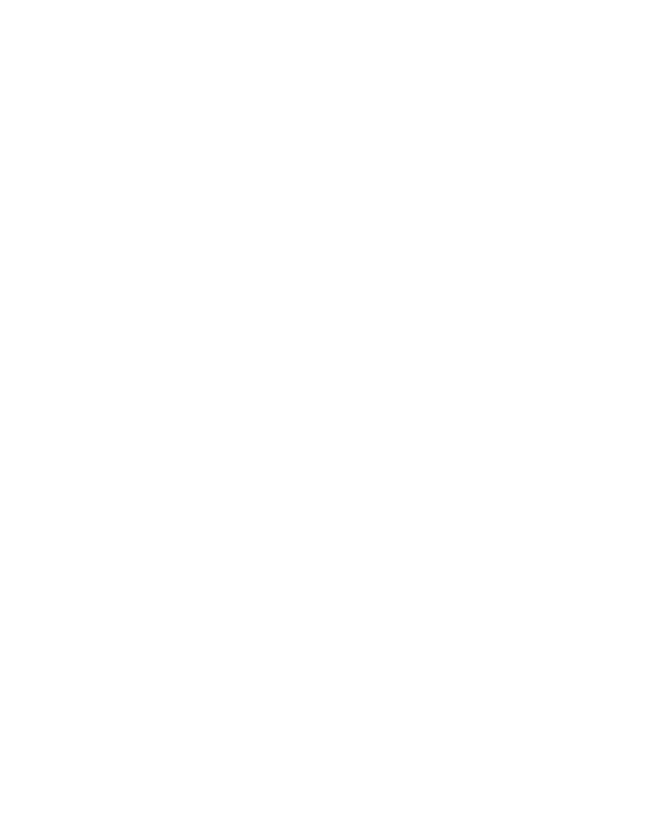rotating platform that enables the mounting element to be rotated at least one of clockwise or counter-clockwise relative to the adjustable clamping element;

- the mounting element also including first and second mounting arms extending from the second side of the 5 base plate and spaced apart from one another and defining a mounting slot configured to accommodate engagement with a mounting surface;
- wherein the mounting slot is rotatable relative to the adjustable clamping element by rotating the base plate  $10$ relative to the main body of the adjustable clamping element;
- wherein the adjustable clamping element comprising one or more bias members operable to urge the adjustable clamping element between the activated and deacti-15 vated states to securely engage with the one of the plurality of different sized portable devices;
- wherein the one or more bias elements is/are in communication with a corresponding rod of the adjustable clamping element, and an expandable portion of the 20 adjustable clamping element is translatable along the corresponding rod;
- wherein the one or more bias elements comprise one or more compression or torsion springs; and
- wherein a fastener secures each of the one or more 25 compression or torsion springs to the corresponding rod.

14. The portable device holder of claim 13, wherein the one or more bias elements is/are operable to receive an applied force that causes the adjustable clamping element to 30 expand between the activated and deactivated states.

15. The portable device holder of claim 13, wherein:

- the mounting element comprises a metal or alloy sheet stamped to form the base plate with the first and second mounting arms extending therefrom; and 35
- the first and second mounting arms extending from the base plate are bent relative to the base plate so that the first and second mounting arms extend from the second side of the base plate and converge towards one another;  $40$
- wherein the mounting arms also comprise a gripping surface constructed from rubber, polymeric material or plastic.

16. A portable device holder comprising:

- an adjustable clamping element comprising a pair of 45 opposing side grips, the adjustable clamping element being adjustable between activated and deactivated states by linearly translating at least one of the side grips to removably secure one of a plurality of different sized portable devices to the adjustable clamping ele- 50 mounting slots, which include: ment:
- a mounting element including a rotatable base plate having a first side and a second side opposite the first side, the first side of the rotatable base plate flush with and rotatably attached to a main body of the adjustable 55 clamping element; and
- the mounting element including a plurality of mounting arms extending away from the second side of the base plate and spaced apart and converging toward one another to form at least a first mounting slot and a 60 second mounting slot;
- wherein the first mounting slot has a first clearance when not engaged with any mounting surface, and the second mounting slot has a second clearance when not engaged with any mounting surface; 65
- wherein the first clearance is larger than the second clearance, and thereby, the first mounting slot is con-

figured to accommodate a larger mounting surface than the second mounting slot is configured to accommodate; and

wherein the first and second mounting slots are rotatable relative to the adjustable clamping element to a plurality of arrangements, including lateral, vertical and diagonal arrangements, by rotating the base plate relative to the main body of the adjustable clamping element.

17. A portable device holder comprising:

- an adjustable clamping element configured to be expanded and retracted to attach one of a plurality of different sized portable devices to the adjustable portable device holder; and
- a rotatable mounting element attached to and rotatable relative to the adjustable clamping element and configured to engage a mounting surface;
- the adjustable clamping element including a main body and an adjustable arm;
- the adjustable clamping element also including a rod, wherein the adjustable arm of the adjustable clamping element is translatable, along the rod, relative to the main body of the adjustable clamping element;
- the rotatable mounting element including a rotatable base plate having a first side and a second side opposite the first side, the first side of the rotatable base plate flush with and rotatably attached to the main body of the adjustable clamping element;
- the rotatable base plate providing a rotating platform that enables the rotatable mounting element to be rotated at least one of clockwise or counter-clockwise relative to the main body of the adjustable clamping element;
- the rotatable mounting element including a plurality of mounting arms extending from the base plate in a direction away from the main body and defining at least one mounting slot configured to accommodate engagement with a mounting surface;
- wherein when the adjustable clamping element is completely retracted the rod is not exposed and is thereby not viewable; and
- wherein when the adjustable clamping element is at least partially expanded there is a gap, between the main body and the adjustable arm of the adjustable clamping element, with the rod exposed and thereby viewable within the gap.

18. The portable device holder of claim 17, wherein the plurality of mounting arms define at least two different size

- a first mounting slot having a first clearance when none of the at least two different size mounting slots is engaging any mounting surface; and
- a second mounting slot having a second clearance when none of the at least two different size mounting slots is engaging any mounting surface;
- the first clearance being different than the second clearance;
- wherein the first clearance is larger than the second clearance, and thus, the first mounting slot is configured to accommodate engagement with a larger mounting surface than the second mounting slot is configured to accommodate.

19. A portable device holder comprising:

an adjustable clamping element comprising first and second opposing side grips and a main body, the adjustable clamping element being adjustable by linearly trans-